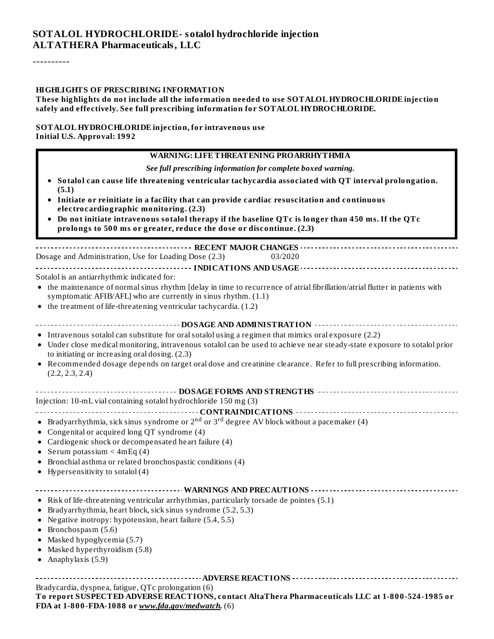#### **SOTALOL HYDROCHLORIDE- sotalol hydrochloride injection ALTATHERA Pharmaceuticals, LLC**

----------

#### **HIGHLIGHTS OF PRESCRIBING INFORMATION**

#### **These highlights do not include all the information needed to use SOTALOL HYDROCHLORIDE injection safely and effectively. See full prescribing information for SOTALOL HYDROCHLORIDE.**

#### **SOTALOL HYDROCHLORIDE injection, for intravenous use Initial U.S. Approval: 1992**

#### **WARNING: LIFE THREATENING PROARRHYTHMIA** *See full prescribing information for complete boxed warning.* **Sotalol can cause life threatening ventricular tachycardia associated with QT interval prolongation. (5.1) Initiate or reinitiate in a facility that can provide cardiac resuscitation and continuous electrocardiographic monitoring. (2.3) Do not initiate intravenous sotalol therapy if the baseline QTc is longer than 450 ms. If the QTc prolongs to 500 ms or greater, reduce the dose or discontinue. (2.3) RECENT MAJOR CHANGES** Dosage and Administration, Use for Loading Dose (2.3) 03/2020 **INDICATIONS AND USAGE** Sotalol is an antiarrhythmic indicated for: the maintenance of normalsinus rhythm [delay in time to recurrence of atrial fibrillation/atrial flutter in patients with  $\bullet$ symptomatic AFIB/AFL] who are currently in sinus rhythm. (1.1) the treatment of life-threatening ventricular tachycardia. (1.2)  $\bullet$ **DOSAGE AND ADMINISTRATION** • Intravenous sotalol can substitute for oral sotalol using a regimen that mimics oral exposure (2.2) Under close medical monitoring, intravenous sotalol can be used to achieve near steady-state exposure to sotalol prior to initiating or increasing oral dosing. (2.3) Recommended dosage depends on target oral dose and creatinine clearance. Refer to full prescribing information.  $\bullet$ (2.2, 2.3, 2.4) **DOSAGE FORMS AND STRENGTHS** Injection: 10-mL vial containing sotalol hydrochloride 150 mg (3) **CONTRAINDICATIONS** Bradyarrhythmia, sick sinus syndrome or  $2^{\rm nd}$  or  $3^{\rm rd}$  degree AV block without a pacemaker (4) • Congenital or acquired long QT syndrome (4) Cardiogenic shock or decompensated heart failure (4) • Serum potassium  $\leq 4mEq(4)$ Bronchial asthma or related bronchospastic conditions (4) • Hypersensitivity to sotalol  $(4)$ **WARNINGS AND PRECAUTIONS**  $\frac{1}{2}$  $\bullet$  Risk of life-threatening ventricular arrhythmias, particularly torsade de pointes (5.1) Bradyarrhythmia, heart block, sick sinus syndrome (5.2, 5.3) Negative inotropy: hypotension, heart failure (5.4, 5.5)  $\bullet$  Bronchospasm (5.6) Masked hypoglycemia (5.7)  $\bullet$  $\bullet$ Masked hyperthyroidism (5.8) Anaphylaxis (5.9)  $\bullet$ **ADVERSE REACTIONS** Bradycardia, dyspnea, fatigue, QTc prolongation (6) **To report SUSPECTED ADVERSE REACTIONS, contact AltaThera Pharmaceuticals LLC at 1-800-524-1985 or FDA at 1-800-FDA-1088 or** *www.fda.gov/medwatch.* (6)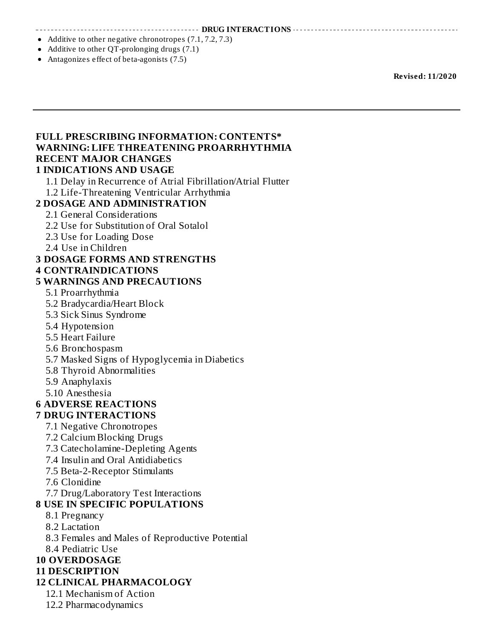**DRUG INTERACTIONS**

- Additive to other negative chronotropes (7.1, 7.2, 7.3)
- Additive to other QT-prolonging drugs (7.1)
- Antagonizes effect of beta-agonists (7.5)

**Revised: 11/2020**

#### **FULL PRESCRIBING INFORMATION: CONTENTS\* WARNING: LIFE THREATENING PROARRHYTHMIA RECENT MAJOR CHANGES 1 INDICATIONS AND USAGE** 1.1 Delay in Recurrence of Atrial Fibrillation/Atrial Flutter

1.2 Life-Threatening Ventricular Arrhythmia **2 DOSAGE AND ADMINISTRATION** 2.1 General Considerations 2.2 Use for Substitution of Oral Sotalol 2.3 Use for Loading Dose 2.4 Use in Children **3 DOSAGE FORMS AND STRENGTHS 4 CONTRAINDICATIONS 5 WARNINGS AND PRECAUTIONS** 5.1 Proarrhythmia 5.2 Bradycardia/Heart Block 5.3 Sick Sinus Syndrome 5.4 Hypotension 5.5 Heart Failure 5.6 Bronchospasm 5.7 Masked Signs of Hypoglycemia in Diabetics 5.8 Thyroid Abnormalities 5.9 Anaphylaxis 5.10 Anesthesia **6 ADVERSE REACTIONS 7 DRUG INTERACTIONS** 7.1 Negative Chronotropes 7.2 Calcium Blocking Drugs 7.3 Catecholamine-Depleting Agents 7.4 Insulin and Oral Antidiabetics 7.5 Beta-2-Receptor Stimulants 7.6 Clonidine 7.7 Drug/Laboratory Test Interactions **8 USE IN SPECIFIC POPULATIONS** 8.1 Pregnancy 8.2 Lactation 8.3 Females and Males of Reproductive Potential 8.4 Pediatric Use

# **10 OVERDOSAGE**

#### **11 DESCRIPTION**

#### **12 CLINICAL PHARMACOLOGY**

- 12.1 Mechanism of Action
- 12.2 Pharmacodynamics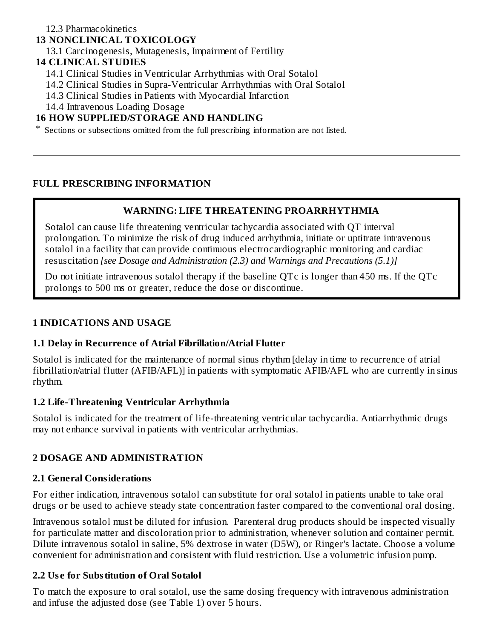#### 12.3 Pharmacokinetics

#### **13 NONCLINICAL TOXICOLOGY**

13.1 Carcinogenesis, Mutagenesis, Impairment of Fertility

#### **14 CLINICAL STUDIES**

- 14.1 Clinical Studies in Ventricular Arrhythmias with Oral Sotalol
- 14.2 Clinical Studies in Supra-Ventricular Arrhythmias with Oral Sotalol
- 14.3 Clinical Studies in Patients with Myocardial Infarction
- 14.4 Intravenous Loading Dosage

### **16 HOW SUPPLIED/STORAGE AND HANDLING**

\* Sections or subsections omitted from the full prescribing information are not listed.

#### **FULL PRESCRIBING INFORMATION**

#### **WARNING: LIFE THREATENING PROARRHYTHMIA**

Sotalol can cause life threatening ventricular tachycardia associated with QT interval prolongation. To minimize the risk of drug induced arrhythmia, initiate or uptitrate intravenous sotalol in a facility that can provide continuous electrocardiographic monitoring and cardiac resuscitation *[see Dosage and Administration (2.3) and Warnings and Precautions (5.1)]*

Do not initiate intravenous sotalol therapy if the baseline QTc is longer than 450 ms. If the QTc prolongs to 500 ms or greater, reduce the dose or discontinue.

#### **1 INDICATIONS AND USAGE**

#### **1.1 Delay in Recurrence of Atrial Fibrillation/Atrial Flutter**

Sotalol is indicated for the maintenance of normal sinus rhythm [delay in time to recurrence of atrial fibrillation/atrial flutter (AFIB/AFL)] in patients with symptomatic AFIB/AFL who are currently in sinus rhythm.

#### **1.2 Life-Threatening Ventricular Arrhythmia**

Sotalol is indicated for the treatment of life-threatening ventricular tachycardia. Antiarrhythmic drugs may not enhance survival in patients with ventricular arrhythmias.

#### **2 DOSAGE AND ADMINISTRATION**

#### **2.1 General Considerations**

For either indication, intravenous sotalol can substitute for oral sotalol in patients unable to take oral drugs or be used to achieve steady state concentration faster compared to the conventional oral dosing.

Intravenous sotalol must be diluted for infusion. Parenteral drug products should be inspected visually for particulate matter and discoloration prior to administration, whenever solution and container permit. Dilute intravenous sotalol in saline, 5% dextrose in water (D5W), or Ringer's lactate. Choose a volume convenient for administration and consistent with fluid restriction. Use a volumetric infusion pump.

#### **2.2 Us e for Substitution of Oral Sotalol**

To match the exposure to oral sotalol, use the same dosing frequency with intravenous administration and infuse the adjusted dose (see Table 1) over 5 hours.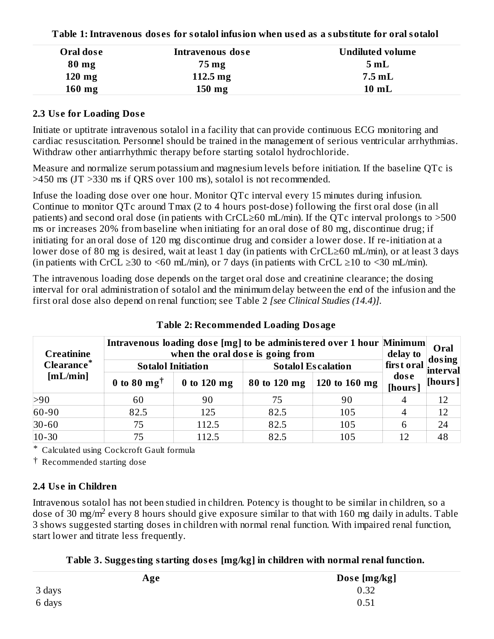| Tubic Teminus change and control million and million and a substitute for armier |                    |                         |  |  |
|----------------------------------------------------------------------------------|--------------------|-------------------------|--|--|
| Oral dose                                                                        | Intravenous dose   | <b>Undiluted volume</b> |  |  |
| $80$ mg                                                                          | 75 mg              | 5mL                     |  |  |
| $120$ mg                                                                         | $112.5 \text{ mg}$ | $7.5$ mL                |  |  |
| $160$ mg                                                                         | $150 \text{ mg}$   | $10$ mL                 |  |  |

**Table 1:Intravenous dos es for sotalol infusion when us ed as a substitute for oral sotalol**

#### **2.3 Us e for Loading Dos e**

Initiate or uptitrate intravenous sotalol in a facility that can provide continuous ECG monitoring and cardiac resuscitation. Personnel should be trained in the management of serious ventricular arrhythmias. Withdraw other antiarrhythmic therapy before starting sotalol hydrochloride.

Measure and normalize serum potassium and magnesium levels before initiation. If the baseline QTc is >450 ms (JT >330 ms if QRS over 100 ms), sotalol is not recommended.

Infuse the loading dose over one hour. Monitor QTc interval every 15 minutes during infusion. Continue to monitor QTc around Tmax (2 to 4 hours post-dose) following the first oral dose (in all patients) and second oral dose (in patients with CrCL≥60 mL/min). If the QTc interval prolongs to >500 ms or increases 20% from baseline when initiating for an oral dose of 80 mg, discontinue drug; if initiating for an oral dose of 120 mg discontinue drug and consider a lower dose. If re-initiation at a lower dose of 80 mg is desired, wait at least 1 day (in patients with CrCL≥60 mL/min), or at least 3 days (in patients with CrCL  $\geq$ 30 to <60 mL/min), or 7 days (in patients with CrCL  $\geq$ 10 to <30 mL/min).

The intravenous loading dose depends on the target oral dose and creatinine clearance; the dosing interval for oral administration of sotalol and the minimum delay between the end of the infusion and the first oral dose also depend on renal function; see Table 2 *[see Clinical Studies (14.4)].*

| <b>Creatinine</b><br><b>Clearance*</b><br>[mL/min] | Intravenous loading dose [mg] to be administered over 1 hour Minimum<br>when the oral dose is going from<br><b>Sotalol Initiation</b><br><b>Sotalol Escalation</b> |               |              |                 |                 | Oral<br>dosing<br>  first oral <sub> interva</sub> r |
|----------------------------------------------------|--------------------------------------------------------------------------------------------------------------------------------------------------------------------|---------------|--------------|-----------------|-----------------|------------------------------------------------------|
|                                                    | 0 to 80 $mg^{\dagger}$                                                                                                                                             | $0$ to 120 mg | 80 to 120 mg | 120 to 160 $mg$ | dose<br>[hours] | [hours]                                              |
| >90                                                | 60                                                                                                                                                                 | 90            | 75           | 90              |                 | 12                                                   |
| 60-90                                              | 82.5                                                                                                                                                               | 125           | 82.5         | 105             |                 | 12                                                   |
| $30 - 60$                                          | 75                                                                                                                                                                 | 112.5         | 82.5         | 105             | 6               | 24                                                   |
| $10 - 30$                                          | 75                                                                                                                                                                 | 112.5         | 82.5         | 105             | 12              | 48                                                   |

#### **Table 2: Recommended Loading Dosage**

\* Calculated using Cockcroft Gault formula

† Recommended starting dose

# **2.4 Us e in Children**

Intravenous sotalol has not been studied in children. Potency is thought to be similar in children, so a dose of 30 mg/m<sup>2</sup> every 8 hours should give exposure similar to that with 160 mg daily in adults. Table 3 shows suggested starting doses in children with normal renal function. With impaired renal function, start lower and titrate less frequently.

|  |  | Table 3. Suggesting starting doses [mg/kg] in children with normal renal function. |
|--|--|------------------------------------------------------------------------------------|
|  |  |                                                                                    |

| Age    | Dose [mg/kg] |
|--------|--------------|
| 3 days | 0.32         |
| 6 days | 0.51         |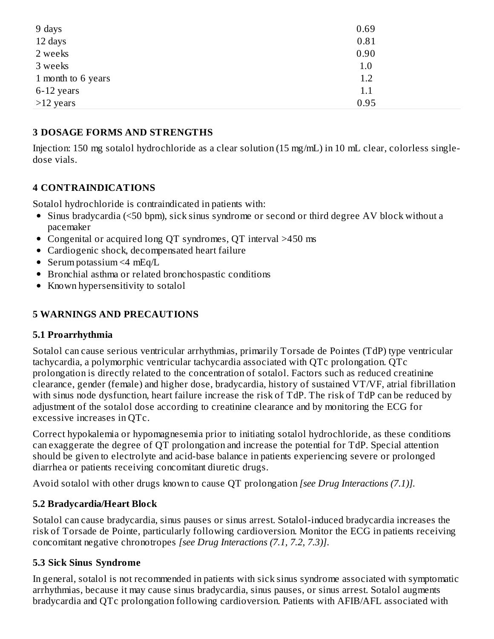| 9 days             | 0.69 |  |
|--------------------|------|--|
| 12 days            | 0.81 |  |
| 2 weeks            | 0.90 |  |
| 3 weeks            | 1.0  |  |
| 1 month to 6 years | 1.2  |  |
| 6-12 years         | 1.1  |  |
| $>12$ years        | 0.95 |  |

#### **3 DOSAGE FORMS AND STRENGTHS**

Injection: 150 mg sotalol hydrochloride as a clear solution (15 mg/mL) in 10 mL clear, colorless singledose vials.

# **4 CONTRAINDICATIONS**

Sotalol hydrochloride is contraindicated in patients with:

- Sinus bradycardia (<50 bpm), sick sinus syndrome or second or third degree AV block without a pacemaker
- Congenital or acquired long QT syndromes, QT interval >450 ms
- Cardiogenic shock, decompensated heart failure
- Serum potassium  $\leq 4$  mEq/L
- Bronchial asthma or related bronchospastic conditions
- Known hypersensitivity to sotalol

### **5 WARNINGS AND PRECAUTIONS**

#### **5.1 Proarrhythmia**

Sotalol can cause serious ventricular arrhythmias, primarily Torsade de Pointes (TdP) type ventricular tachycardia, a polymorphic ventricular tachycardia associated with QTc prolongation. QTc prolongation is directly related to the concentration of sotalol. Factors such as reduced creatinine clearance, gender (female) and higher dose, bradycardia, history of sustained VT/VF, atrial fibrillation with sinus node dysfunction, heart failure increase the risk of TdP. The risk of TdP can be reduced by adjustment of the sotalol dose according to creatinine clearance and by monitoring the ECG for excessive increases in QTc.

Correct hypokalemia or hypomagnesemia prior to initiating sotalol hydrochloride, as these conditions can exaggerate the degree of QT prolongation and increase the potential for TdP. Special attention should be given to electrolyte and acid-base balance in patients experiencing severe or prolonged diarrhea or patients receiving concomitant diuretic drugs.

Avoid sotalol with other drugs known to cause QT prolongation *[see Drug Interactions (7.1)].*

# **5.2 Bradycardia/Heart Block**

Sotalol can cause bradycardia, sinus pauses or sinus arrest. Sotalol-induced bradycardia increases the risk of Torsade de Pointe, particularly following cardioversion. Monitor the ECG in patients receiving concomitant negative chronotropes *[see Drug Interactions (7.1, 7.2, 7.3)]*.

#### **5.3 Sick Sinus Syndrome**

In general, sotalol is not recommended in patients with sick sinus syndrome associated with symptomatic arrhythmias, because it may cause sinus bradycardia, sinus pauses, or sinus arrest. Sotalol augments bradycardia and QTc prolongation following cardioversion. Patients with AFIB/AFL associated with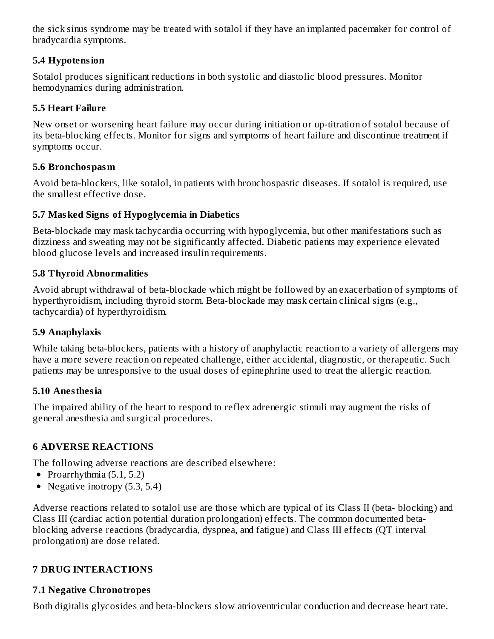the sick sinus syndrome may be treated with sotalol if they have an implanted pacemaker for control of bradycardia symptoms.

### **5.4 Hypotension**

Sotalol produces significant reductions in both systolic and diastolic blood pressures. Monitor hemodynamics during administration.

#### **5.5 Heart Failure**

New onset or worsening heart failure may occur during initiation or up-titration of sotalol because of its beta-blocking effects. Monitor for signs and symptoms of heart failure and discontinue treatment if symptoms occur.

# **5.6 Bronchospasm**

Avoid beta-blockers, like sotalol, in patients with bronchospastic diseases. If sotalol is required, use the smallest effective dose.

# **5.7 Masked Signs of Hypoglycemia in Diabetics**

Beta-blockade may mask tachycardia occurring with hypoglycemia, but other manifestations such as dizziness and sweating may not be significantly affected. Diabetic patients may experience elevated blood glucose levels and increased insulin requirements.

#### **5.8 Thyroid Abnormalities**

Avoid abrupt withdrawal of beta-blockade which might be followed by an exacerbation of symptoms of hyperthyroidism, including thyroid storm. Beta-blockade may mask certain clinical signs (e.g., tachycardia) of hyperthyroidism.

# **5.9 Anaphylaxis**

While taking beta-blockers, patients with a history of anaphylactic reaction to a variety of allergens may have a more severe reaction on repeated challenge, either accidental, diagnostic, or therapeutic. Such patients may be unresponsive to the usual doses of epinephrine used to treat the allergic reaction.

# **5.10 Anesthesia**

The impaired ability of the heart to respond to reflex adrenergic stimuli may augment the risks of general anesthesia and surgical procedures.

# **6 ADVERSE REACTIONS**

The following adverse reactions are described elsewhere:

- Proarrhythmia  $(5.1, 5.2)$
- Negative inotropy  $(5.3, 5.4)$

Adverse reactions related to sotalol use are those which are typical of its Class II (beta- blocking) and Class III (cardiac action potential duration prolongation) effects. The common documented betablocking adverse reactions (bradycardia, dyspnea, and fatigue) and Class III effects (QT interval prolongation) are dose related.

# **7 DRUG INTERACTIONS**

# **7.1 Negative Chronotropes**

Both digitalis glycosides and beta-blockers slow atrioventricular conduction and decrease heart rate.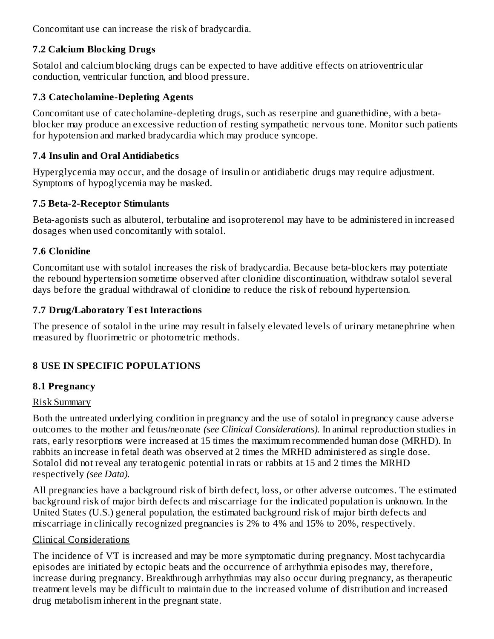Concomitant use can increase the risk of bradycardia.

# **7.2 Calcium Blocking Drugs**

Sotalol and calcium blocking drugs can be expected to have additive effects on atrioventricular conduction, ventricular function, and blood pressure.

# **7.3 Catecholamine-Depleting Agents**

Concomitant use of catecholamine-depleting drugs, such as reserpine and guanethidine, with a betablocker may produce an excessive reduction of resting sympathetic nervous tone. Monitor such patients for hypotension and marked bradycardia which may produce syncope.

# **7.4 Insulin and Oral Antidiabetics**

Hyperglycemia may occur, and the dosage of insulin or antidiabetic drugs may require adjustment. Symptoms of hypoglycemia may be masked.

# **7.5 Beta-2-Receptor Stimulants**

Beta-agonists such as albuterol, terbutaline and isoproterenol may have to be administered in increased dosages when used concomitantly with sotalol.

# **7.6 Clonidine**

Concomitant use with sotalol increases the risk of bradycardia. Because beta-blockers may potentiate the rebound hypertension sometime observed after clonidine discontinuation, withdraw sotalol several days before the gradual withdrawal of clonidine to reduce the risk of rebound hypertension.

# **7.7 Drug/Laboratory Test Interactions**

The presence of sotalol in the urine may result in falsely elevated levels of urinary metanephrine when measured by fluorimetric or photometric methods.

# **8 USE IN SPECIFIC POPULATIONS**

# **8.1 Pregnancy**

# Risk Summary

Both the untreated underlying condition in pregnancy and the use of sotalol in pregnancy cause adverse outcomes to the mother and fetus/neonate *(see Clinical Considerations).* In animal reproduction studies in rats, early resorptions were increased at 15 times the maximum recommended human dose (MRHD). In rabbits an increase in fetal death was observed at 2 times the MRHD administered as single dose. Sotalol did not reveal any teratogenic potential in rats or rabbits at 15 and 2 times the MRHD respectively *(see Data).*

All pregnancies have a background risk of birth defect, loss, or other adverse outcomes. The estimated background risk of major birth defects and miscarriage for the indicated population is unknown. In the United States (U.S.) general population, the estimated background risk of major birth defects and miscarriage in clinically recognized pregnancies is 2% to 4% and 15% to 20%, respectively.

# Clinical Considerations

The incidence of VT is increased and may be more symptomatic during pregnancy. Most tachycardia episodes are initiated by ectopic beats and the occurrence of arrhythmia episodes may, therefore, increase during pregnancy. Breakthrough arrhythmias may also occur during pregnancy, as therapeutic treatment levels may be difficult to maintain due to the increased volume of distribution and increased drug metabolism inherent in the pregnant state.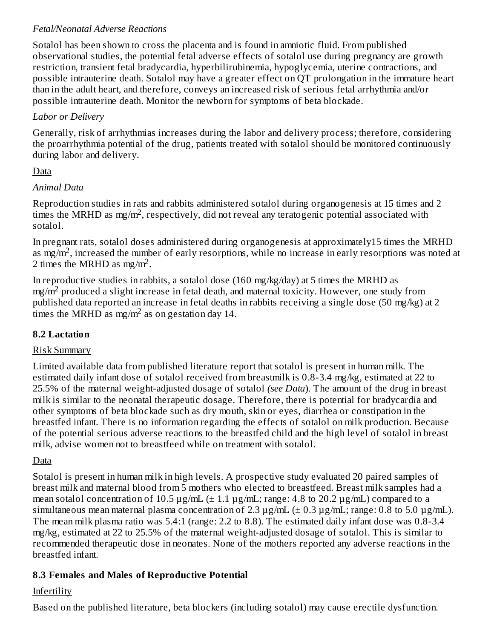### *Fetal/Neonatal Adverse Reactions*

Sotalol has been shown to cross the placenta and is found in amniotic fluid. From published observational studies, the potential fetal adverse effects of sotalol use during pregnancy are growth restriction, transient fetal bradycardia, hyperbilirubinemia, hypoglycemia, uterine contractions, and possible intrauterine death. Sotalol may have a greater effect on QT prolongation in the immature heart than in the adult heart, and therefore, conveys an increased risk of serious fetal arrhythmia and/or possible intrauterine death. Monitor the newborn for symptoms of beta blockade.

### *Labor or Delivery*

Generally, risk of arrhythmias increases during the labor and delivery process; therefore, considering the proarrhythmia potential of the drug, patients treated with sotalol should be monitored continuously during labor and delivery.

#### Data

#### *Animal Data*

Reproduction studies in rats and rabbits administered sotalol during organogenesis at 15 times and 2 times the MRHD as mg/m<sup>2</sup>, respectively, did not reveal any teratogenic potential associated with sotalol.

In pregnant rats, sotalol doses administered during organogenesis at approximately15 times the MRHD as mg/m<sup>2</sup>, increased the number of early resorptions, while no increase in early resorptions was noted at 2 times the MRHD as mg/m<sup>2</sup>.

In reproductive studies in rabbits, a sotalol dose  $(160 \text{ mg/kg/day})$  at 5 times the MRHD as  $mg/m<sup>2</sup>$  produced a slight increase in fetal death, and maternal toxicity. However, one study from published data reported an increase in fetal deaths in rabbits receiving a single dose (50 mg/kg) at 2 times the MRHD as mg/m<sup>2</sup> as on gestation day 14.

# **8.2 Lactation**

#### Risk Summary

Limited available data from published literature report that sotalol is present in human milk. The estimated daily infant dose of sotalol received from breastmilk is 0.8-3.4 mg/kg, estimated at 22 to 25.5% of the maternal weight-adjusted dosage of sotalol *(see Data*). The amount of the drug in breast milk is similar to the neonatal therapeutic dosage. Therefore, there is potential for bradycardia and other symptoms of beta blockade such as dry mouth, skin or eyes, diarrhea or constipation in the breastfed infant. There is no information regarding the effects of sotalol on milk production. Because of the potential serious adverse reactions to the breastfed child and the high level of sotalol in breast milk, advise women not to breastfeed while on treatment with sotalol.

#### Data

Sotalol is present in human milk in high levels. A prospective study evaluated 20 paired samples of breast milk and maternal blood from 5 mothers who elected to breastfeed. Breast milk samples had a mean sotalol concentration of 10.5  $\mu$ g/mL ( $\pm$  1.1  $\mu$ g/mL; range: 4.8 to 20.2  $\mu$ g/mL) compared to a simultaneous mean maternal plasma concentration of 2.3  $\mu$ g/mL ( $\pm$  0.3  $\mu$ g/mL; range: 0.8 to 5.0  $\mu$ g/mL). The mean milk plasma ratio was 5.4:1 (range: 2.2 to 8.8). The estimated daily infant dose was 0.8-3.4 mg/kg, estimated at 22 to 25.5% of the maternal weight-adjusted dosage of sotalol. This is similar to recommended therapeutic dose in neonates. None of the mothers reported any adverse reactions in the breastfed infant.

# **8.3 Females and Males of Reproductive Potential**

# Infertility

Based on the published literature, beta blockers (including sotalol) may cause erectile dysfunction.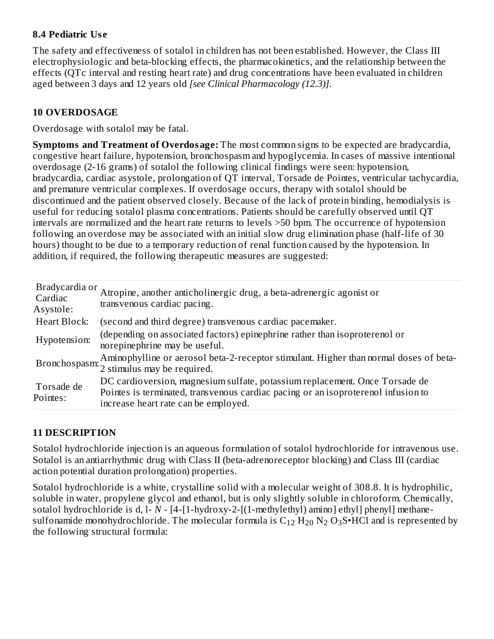#### **8.4 Pediatric Us e**

The safety and effectiveness of sotalol in children has not been established. However, the Class III electrophysiologic and beta-blocking effects, the pharmacokinetics, and the relationship between the effects (QTc interval and resting heart rate) and drug concentrations have been evaluated in children aged between 3 days and 12 years old *[see Clinical Pharmacology (12.3)]*.

# **10 OVERDOSAGE**

Overdosage with sotalol may be fatal.

**Symptoms and Treatment of Overdosage:** The most common signs to be expected are bradycardia, congestive heart failure, hypotension, bronchospasm and hypoglycemia. In cases of massive intentional overdosage (2-16 grams) of sotalol the following clinical findings were seen: hypotension, bradycardia, cardiac asystole, prolongation of QT interval, Torsade de Pointes, ventricular tachycardia, and premature ventricular complexes. If overdosage occurs, therapy with sotalol should be discontinued and the patient observed closely. Because of the lack of protein binding, hemodialysis is useful for reducing sotalol plasma concentrations. Patients should be carefully observed until QT intervals are normalized and the heart rate returns to levels >50 bpm. The occurrence of hypotension following an overdose may be associated with an initial slow drug elimination phase (half-life of 30 hours) thought to be due to a temporary reduction of renal function caused by the hypotension. In addition, if required, the following therapeutic measures are suggested:

| Bradycardia or<br>Cardiac<br>Asystole: | Atropine, another anticholinergic drug, a beta-adrenergic agonist or<br>transvenous cardiac pacing.                                                                                                      |
|----------------------------------------|----------------------------------------------------------------------------------------------------------------------------------------------------------------------------------------------------------|
| Heart Block:                           | (second and third degree) transvenous cardiac pacemaker.                                                                                                                                                 |
| Hypotension:                           | (depending on associated factors) epinephrine rather than isoproterenol or<br>norepinephrine may be useful.                                                                                              |
|                                        | Bronchospasm: Aminophylline or aerosol beta-2-receptor stimulant. Higher than normal doses of beta-<br>2 stimulus may be required.                                                                       |
| Torsade de<br>Pointes:                 | DC cardioversion, magnesium sulfate, potassium replacement. Once Torsade de<br>Pointes is terminated, transvenous cardiac pacing or an isoproterenol infusion to<br>increase heart rate can be employed. |

# **11 DESCRIPTION**

Sotalol hydrochloride injection is an aqueous formulation of sotalol hydrochloride for intravenous use. Sotalol is an antiarrhythmic drug with Class II (beta-adrenoreceptor blocking) and Class III (cardiac action potential duration prolongation) properties.

Sotalol hydrochloride is a white, crystalline solid with a molecular weight of 308.8. It is hydrophilic, soluble in water, propylene glycol and ethanol, but is only slightly soluble in chloroform. Chemically, sotalol hydrochloride is d, l- *N* - [4-[1-hydroxy-2-[(1-methylethyl) amino] ethyl] phenyl] methanesulfonamide monohydrochloride. The molecular formula is  $\rm C_{12}$   $\rm H_{20}$   $\rm N_2$   $\rm O_3$ S•HCl and is represented by the following structural formula: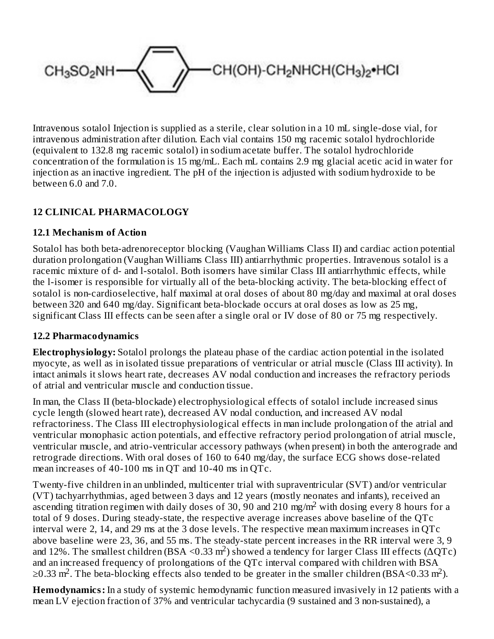

Intravenous sotalol Injection is supplied as a sterile, clear solution in a 10 mL single-dose vial, for intravenous administration after dilution. Each vial contains 150 mg racemic sotalol hydrochloride (equivalent to 132.8 mg racemic sotalol) in sodium acetate buffer. The sotalol hydrochloride concentration of the formulation is 15 mg/mL. Each mL contains 2.9 mg glacial acetic acid in water for injection as an inactive ingredient. The pH of the injection is adjusted with sodium hydroxide to be between 6.0 and 7.0.

# **12 CLINICAL PHARMACOLOGY**

#### **12.1 Mechanism of Action**

Sotalol has both beta-adrenoreceptor blocking (Vaughan Williams Class II) and cardiac action potential duration prolongation (Vaughan Williams Class III) antiarrhythmic properties. Intravenous sotalol is a racemic mixture of d- and l-sotalol. Both isomers have similar Class III antiarrhythmic effects, while the l-isomer is responsible for virtually all of the beta-blocking activity. The beta-blocking effect of sotalol is non-cardioselective, half maximal at oral doses of about 80 mg/day and maximal at oral doses between 320 and 640 mg/day. Significant beta-blockade occurs at oral doses as low as 25 mg, significant Class III effects can be seen after a single oral or IV dose of 80 or 75 mg respectively.

#### **12.2 Pharmacodynamics**

**Electrophysiology:** Sotalol prolongs the plateau phase of the cardiac action potential in the isolated myocyte, as well as in isolated tissue preparations of ventricular or atrial muscle (Class III activity). In intact animals it slows heart rate, decreases AV nodal conduction and increases the refractory periods of atrial and ventricular muscle and conduction tissue.

In man, the Class II (beta-blockade) electrophysiological effects of sotalol include increased sinus cycle length (slowed heart rate), decreased AV nodal conduction, and increased AV nodal refractoriness. The Class III electrophysiological effects in man include prolongation of the atrial and ventricular monophasic action potentials, and effective refractory period prolongation of atrial muscle, ventricular muscle, and atrio-ventricular accessory pathways (when present) in both the anterograde and retrograde directions. With oral doses of 160 to 640 mg/day, the surface ECG shows dose-related mean increases of 40-100 ms in QT and 10-40 ms in QTc.

Twenty-five children in an unblinded, multicenter trial with supraventricular (SVT) and/or ventricular (VT) tachyarrhythmias, aged between 3 days and 12 years (mostly neonates and infants), received an ascending titration regimen with daily doses of 30, 90 and 210 mg/m<sup>2</sup> with dosing every 8 hours for a total of 9 doses. During steady-state, the respective average increases above baseline of the QTc interval were 2, 14, and 29 ms at the 3 dose levels. The respective mean maximum increases in QTc above baseline were 23, 36, and 55 ms. The steady-state percent increases in the RR interval were 3, 9 and 12%. The smallest children (BSA <0.33 m<sup>2</sup>) showed a tendency for larger Class III effects (ΔQTc) and an increased frequency of prolongations of the QTc interval compared with children with BSA  $\geq$ 0.33 m<sup>2</sup>. The beta-blocking effects also tended to be greater in the smaller children (BSA<0.33 m<sup>2</sup>).

**Hemodynamics:** In a study of systemic hemodynamic function measured invasively in 12 patients with a mean LV ejection fraction of 37% and ventricular tachycardia (9 sustained and 3 non-sustained), a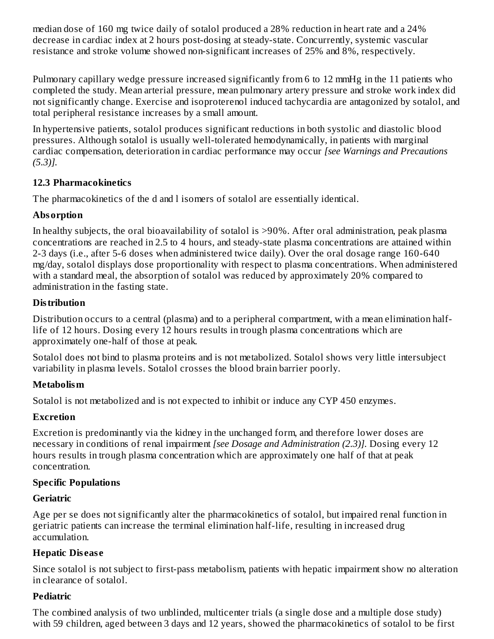median dose of 160 mg twice daily of sotalol produced a 28% reduction in heart rate and a 24% decrease in cardiac index at 2 hours post-dosing at steady-state. Concurrently, systemic vascular resistance and stroke volume showed non-significant increases of 25% and 8%, respectively.

Pulmonary capillary wedge pressure increased significantly from 6 to 12 mmHg in the 11 patients who completed the study. Mean arterial pressure, mean pulmonary artery pressure and stroke work index did not significantly change. Exercise and isoproterenol induced tachycardia are antagonized by sotalol, and total peripheral resistance increases by a small amount.

In hypertensive patients, sotalol produces significant reductions in both systolic and diastolic blood pressures. Although sotalol is usually well-tolerated hemodynamically, in patients with marginal cardiac compensation, deterioration in cardiac performance may occur *[see Warnings and Precautions (5.3)].*

#### **12.3 Pharmacokinetics**

The pharmacokinetics of the d and l isomers of sotalol are essentially identical.

# **Absorption**

In healthy subjects, the oral bioavailability of sotalol is >90%. After oral administration, peak plasma concentrations are reached in 2.5 to 4 hours, and steady-state plasma concentrations are attained within 2-3 days (i.e., after 5-6 doses when administered twice daily). Over the oral dosage range 160-640 mg/day, sotalol displays dose proportionality with respect to plasma concentrations. When administered with a standard meal, the absorption of sotalol was reduced by approximately 20% compared to administration in the fasting state.

# **Distribution**

Distribution occurs to a central (plasma) and to a peripheral compartment, with a mean elimination halflife of 12 hours. Dosing every 12 hours results in trough plasma concentrations which are approximately one-half of those at peak.

Sotalol does not bind to plasma proteins and is not metabolized. Sotalol shows very little intersubject variability in plasma levels. Sotalol crosses the blood brain barrier poorly.

# **Metabolism**

Sotalol is not metabolized and is not expected to inhibit or induce any CYP 450 enzymes.

# **Excretion**

Excretion is predominantly via the kidney in the unchanged form, and therefore lower doses are necessary in conditions of renal impairment *[see Dosage and Administration (2.3)].* Dosing every 12 hours results in trough plasma concentration which are approximately one half of that at peak concentration.

# **Specific Populations**

# **Geriatric**

Age per se does not significantly alter the pharmacokinetics of sotalol, but impaired renal function in geriatric patients can increase the terminal elimination half-life, resulting in increased drug accumulation.

# **Hepatic Disease**

Since sotalol is not subject to first-pass metabolism, patients with hepatic impairment show no alteration in clearance of sotalol.

# **Pediatric**

The combined analysis of two unblinded, multicenter trials (a single dose and a multiple dose study) with 59 children, aged between 3 days and 12 years, showed the pharmacokinetics of sotalol to be first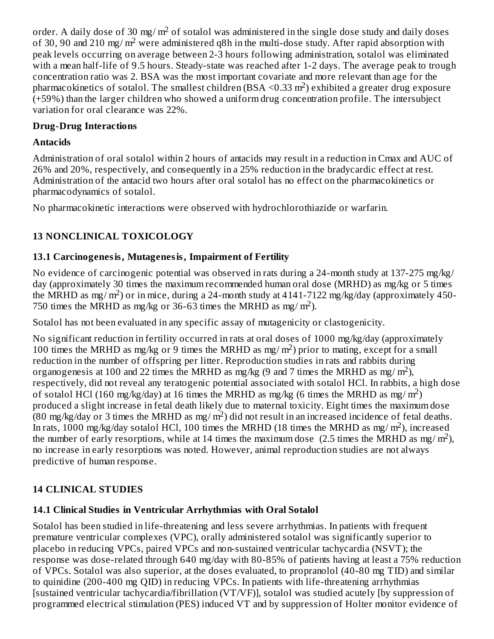order. A daily dose of 30 mg/ m $^2$  of sotalol was administered in the single dose study and daily doses of 30, 90 and 210 mg/m<sup>2</sup> were administered q8h in the multi-dose study. After rapid absorption with peak levels occurring on average between 2-3 hours following administration, sotalol was eliminated with a mean half-life of 9.5 hours. Steady-state was reached after 1-2 days. The average peak to trough concentration ratio was 2. BSA was the most important covariate and more relevant than age for the pharmacokinetics of sotalol. The smallest children (BSA < 0.33 m<sup>2</sup>) exhibited a greater drug exposure (+59%) than the larger children who showed a uniform drug concentration profile. The intersubject variation for oral clearance was 22%.

#### **Drug-Drug Interactions**

#### **Antacids**

Administration of oral sotalol within 2 hours of antacids may result in a reduction in Cmax and AUC of 26% and 20%, respectively, and consequently in a 25% reduction in the bradycardic effect at rest. Administration of the antacid two hours after oral sotalol has no effect on the pharmacokinetics or pharmacodynamics of sotalol.

No pharmacokinetic interactions were observed with hydrochlorothiazide or warfarin.

# **13 NONCLINICAL TOXICOLOGY**

#### **13.1 Carcinogenesis, Mutagenesis, Impairment of Fertility**

No evidence of carcinogenic potential was observed in rats during a 24-month study at 137-275 mg/kg/ day (approximately 30 times the maximum recommended human oral dose (MRHD) as mg/kg or 5 times the MRHD as mg/m<sup>2</sup>) or in mice, during a 24-month study at  $4141-7122$  mg/kg/day (approximately 450-750 times the MRHD as mg/kg or 36-63 times the MRHD as mg/m<sup>2</sup>).

Sotalol has not been evaluated in any specific assay of mutagenicity or clastogenicity.

No significant reduction in fertility occurred in rats at oral doses of 1000 mg/kg/day (approximately 100 times the MRHD as mg/kg or 9 times the MRHD as mg/m<sup>2</sup>) prior to mating, except for a small reduction in the number of offspring per litter. Reproduction studies in rats and rabbits during organogenesis at 100 and 22 times the MRHD as mg/kg (9 and 7 times the MRHD as mg/m<sup>2</sup>), respectively, did not reveal any teratogenic potential associated with sotalol HCl. In rabbits, a high dose of sotalol HCl (160 mg/kg/day) at 16 times the MRHD as mg/kg (6 times the MRHD as mg/m<sup>2</sup>) produced a slight increase in fetal death likely due to maternal toxicity. Eight times the maximum dose  $(80 \text{ mg/kg/day or } 3 \text{ times the MRHD as mg/m}^2)$  did not result in an increased incidence of fetal deaths. In rats, 1000 mg/kg/day sotalol HCl, 100 times the MRHD (18 times the MRHD as mg/ m<sup>2</sup>), increased the number of early resorptions, while at 14 times the maximum dose (2.5 times the MRHD as mg/m<sup>2</sup>), no increase in early resorptions was noted. However, animal reproduction studies are not always predictive of human response.

# **14 CLINICAL STUDIES**

#### **14.1 Clinical Studies in Ventricular Arrhythmias with Oral Sotalol**

Sotalol has been studied in life-threatening and less severe arrhythmias. In patients with frequent premature ventricular complexes (VPC), orally administered sotalol was significantly superior to placebo in reducing VPCs, paired VPCs and non-sustained ventricular tachycardia (NSVT); the response was dose-related through 640 mg/day with 80-85% of patients having at least a 75% reduction of VPCs. Sotalol was also superior, at the doses evaluated, to propranolol (40-80 mg TID) and similar to quinidine (200-400 mg QID) in reducing VPCs. In patients with life-threatening arrhythmias [sustained ventricular tachycardia/fibrillation (VT/VF)], sotalol was studied acutely [by suppression of programmed electrical stimulation (PES) induced VT and by suppression of Holter monitor evidence of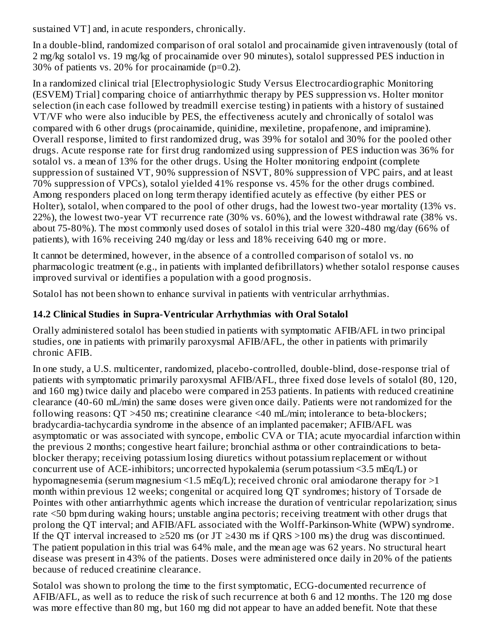sustained VT] and, in acute responders, chronically.

In a double-blind, randomized comparison of oral sotalol and procainamide given intravenously (total of 2 mg/kg sotalol vs. 19 mg/kg of procainamide over 90 minutes), sotalol suppressed PES induction in 30% of patients vs. 20% for procainamide (p=0.2).

In a randomized clinical trial [Electrophysiologic Study Versus Electrocardiographic Monitoring (ESVEM) Trial] comparing choice of antiarrhythmic therapy by PES suppression vs. Holter monitor selection (in each case followed by treadmill exercise testing) in patients with a history of sustained VT/VF who were also inducible by PES, the effectiveness acutely and chronically of sotalol was compared with 6 other drugs (procainamide, quinidine, mexiletine, propafenone, and imipramine). Overall response, limited to first randomized drug, was 39% for sotalol and 30% for the pooled other drugs. Acute response rate for first drug randomized using suppression of PES induction was 36% for sotalol vs. a mean of 13% for the other drugs. Using the Holter monitoring endpoint (complete suppression of sustained VT, 90% suppression of NSVT, 80% suppression of VPC pairs, and at least 70% suppression of VPCs), sotalol yielded 41% response vs. 45% for the other drugs combined. Among responders placed on long term therapy identified acutely as effective (by either PES or Holter), sotalol, when compared to the pool of other drugs, had the lowest two-year mortality (13% vs. 22%), the lowest two-year VT recurrence rate (30% vs. 60%), and the lowest withdrawal rate (38% vs. about 75-80%). The most commonly used doses of sotalol in this trial were 320-480 mg/day (66% of patients), with 16% receiving 240 mg/day or less and 18% receiving 640 mg or more.

It cannot be determined, however, in the absence of a controlled comparison of sotalol vs. no pharmacologic treatment (e.g., in patients with implanted defibrillators) whether sotalol response causes improved survival or identifies a population with a good prognosis.

Sotalol has not been shown to enhance survival in patients with ventricular arrhythmias.

### **14.2 Clinical Studies in Supra-Ventricular Arrhythmias with Oral Sotalol**

Orally administered sotalol has been studied in patients with symptomatic AFIB/AFL in two principal studies, one in patients with primarily paroxysmal AFIB/AFL, the other in patients with primarily chronic AFIB.

In one study, a U.S. multicenter, randomized, placebo-controlled, double-blind, dose-response trial of patients with symptomatic primarily paroxysmal AFIB/AFL, three fixed dose levels of sotalol (80, 120, and 160 mg) twice daily and placebo were compared in 253 patients. In patients with reduced creatinine clearance (40-60 mL/min) the same doses were given once daily. Patients were not randomized for the following reasons: QT >450 ms; creatinine clearance <40 mL/min; intolerance to beta-blockers; bradycardia-tachycardia syndrome in the absence of an implanted pacemaker; AFIB/AFL was asymptomatic or was associated with syncope, embolic CVA or TIA; acute myocardial infarction within the previous 2 months; congestive heart failure; bronchial asthma or other contraindications to betablocker therapy; receiving potassium losing diuretics without potassium replacement or without concurrent use of ACE-inhibitors; uncorrected hypokalemia (serum potassium <3.5 mEq/L) or hypomagnesemia (serum magnesium <1.5 mEq/L); received chronic oral amiodarone therapy for >1 month within previous 12 weeks; congenital or acquired long QT syndromes; history of Torsade de Pointes with other antiarrhythmic agents which increase the duration of ventricular repolarization; sinus rate <50 bpm during waking hours; unstable angina pectoris; receiving treatment with other drugs that prolong the QT interval; and AFIB/AFL associated with the Wolff-Parkinson-White (WPW) syndrome. If the QT interval increased to  $\geq$ 520 ms (or JT  $\geq$ 430 ms if QRS >100 ms) the drug was discontinued. The patient population in this trial was 64% male, and the mean age was 62 years. No structural heart disease was present in 43% of the patients. Doses were administered once daily in 20% of the patients because of reduced creatinine clearance.

Sotalol was shown to prolong the time to the first symptomatic, ECG-documented recurrence of AFIB/AFL, as well as to reduce the risk of such recurrence at both 6 and 12 months. The 120 mg dose was more effective than 80 mg, but 160 mg did not appear to have an added benefit. Note that these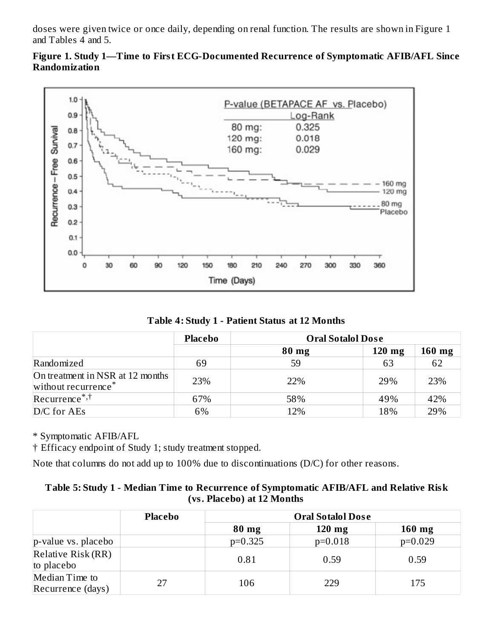doses were given twice or once daily, depending on renal function. The results are shown in Figure 1 and Tables 4 and 5.



**Figure 1. Study 1—Time to First ECG-Documented Recurrence of Symptomatic AFIB/AFL Since Randomization**

**Table 4: Study 1 - Patient Status at 12 Months**

|                                                                     | Placebo | <b>Oral Sotalol Dose</b> |          |          |
|---------------------------------------------------------------------|---------|--------------------------|----------|----------|
|                                                                     |         | $80$ mg                  | $120$ mg | $160$ mg |
| Randomized                                                          | 69      | 59                       | 63       | 62       |
| On treatment in NSR at 12 months<br>without recurrence <sup>*</sup> | 23%     | 22%                      | 29%      | 23%      |
| $Recurrence^{*,\dagger}$                                            | 67%     | 58%                      | 49%      | 42%      |
| $D/C$ for AEs                                                       | 6%      | 12%                      | 18%      | 29%      |

\* Symptomatic AFIB/AFL

† Efficacy endpoint of Study 1; study treatment stopped.

Note that columns do not add up to 100% due to discontinuations (D/C) for other reasons.

| Table 5: Study 1 - Median Time to Recurrence of Symptomatic AFIB/AFL and Relative Risk |
|----------------------------------------------------------------------------------------|
| (vs. Placebo) at 12 Months                                                             |

|                                     | <b>Placebo</b> | <b>Oral Sotalol Dose</b> |           |           |
|-------------------------------------|----------------|--------------------------|-----------|-----------|
|                                     |                | $80$ mg                  | $120$ mg  | $160$ mg  |
| p-value vs. placebo                 |                | $p=0.325$                | $p=0.018$ | $p=0.029$ |
| Relative Risk (RR)<br>to placebo    |                | 0.81                     | 0.59      | 0.59      |
| Median Time to<br>Recurrence (days) | 27             | 106                      | 229       | 175       |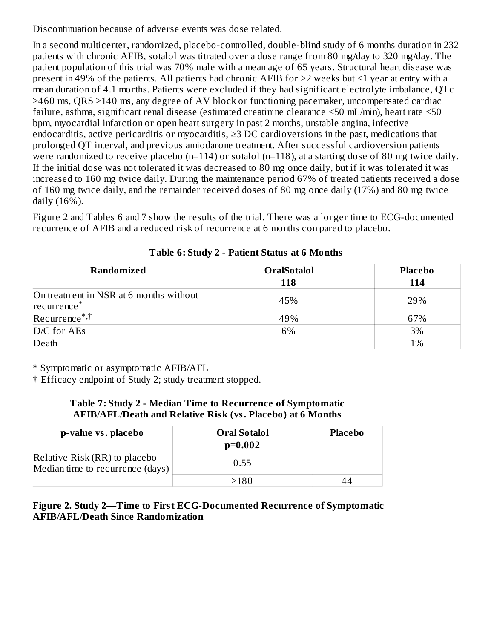Discontinuation because of adverse events was dose related.

In a second multicenter, randomized, placebo-controlled, double-blind study of 6 months duration in 232 patients with chronic AFIB, sotalol was titrated over a dose range from 80 mg/day to 320 mg/day. The patient population of this trial was 70% male with a mean age of 65 years. Structural heart disease was present in 49% of the patients. All patients had chronic AFIB for >2 weeks but <1 year at entry with a mean duration of 4.1 months. Patients were excluded if they had significant electrolyte imbalance, QTc >460 ms, QRS >140 ms, any degree of AV block or functioning pacemaker, uncompensated cardiac failure, asthma, significant renal disease (estimated creatinine clearance <50 mL/min), heart rate <50 bpm, myocardial infarction or open heart surgery in past 2 months, unstable angina, infective endocarditis, active pericarditis or myocarditis,  $\geq$ 3 DC cardioversions in the past, medications that prolonged QT interval, and previous amiodarone treatment. After successful cardioversion patients were randomized to receive placebo (n=114) or sotalol (n=118), at a starting dose of 80 mg twice daily. If the initial dose was not tolerated it was decreased to 80 mg once daily, but if it was tolerated it was increased to 160 mg twice daily. During the maintenance period 67% of treated patients received a dose of 160 mg twice daily, and the remainder received doses of 80 mg once daily (17%) and 80 mg twice daily (16%).

Figure 2 and Tables 6 and 7 show the results of the trial. There was a longer time to ECG-documented recurrence of AFIB and a reduced risk of recurrence at 6 months compared to placebo.

| Randomized                                            | <b>OralSotalol</b> | <b>Placebo</b> |  |
|-------------------------------------------------------|--------------------|----------------|--|
|                                                       | 118                | 114            |  |
| On treatment in NSR at 6 months without<br>recurrence | 45%                | 29%            |  |
| $Recurrence^{*,\dagger}$                              | 49%                | 67%            |  |
| D/C for AEs                                           | 6%                 | 3%             |  |
| Death                                                 |                    | 1%             |  |

**Table 6: Study 2 - Patient Status at 6 Months**

\* Symptomatic or asymptomatic AFIB/AFL

† Efficacy endpoint of Study 2; study treatment stopped.

#### **Table 7: Study 2 - Median Time to Recurrence of Symptomatic AFIB/AFL/Death and Relative Risk (vs. Placebo) at 6 Months**

| p-value vs. placebo                                               | <b>Oral Sotalol</b> | <b>Placebo</b> |
|-------------------------------------------------------------------|---------------------|----------------|
|                                                                   | $p=0.002$           |                |
| Relative Risk (RR) to placebo<br>Median time to recurrence (days) | 0.55                |                |
|                                                                   | >180                |                |

**Figure 2. Study 2—Time to First ECG-Documented Recurrence of Symptomatic AFIB/AFL/Death Since Randomization**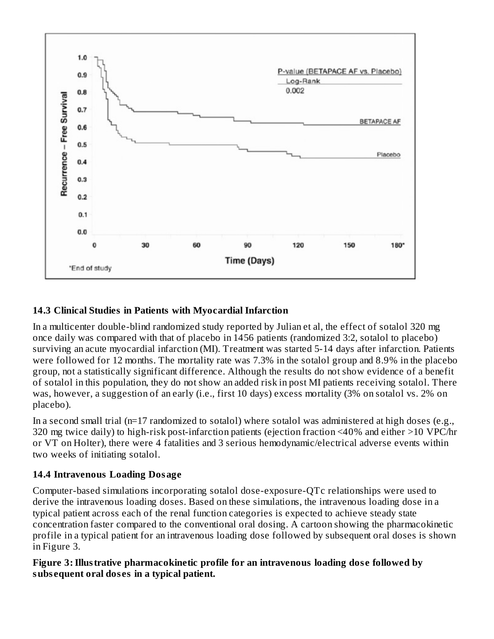

# **14.3 Clinical Studies in Patients with Myocardial Infarction**

In a multicenter double-blind randomized study reported by Julian et al, the effect of sotalol 320 mg once daily was compared with that of placebo in 1456 patients (randomized 3:2, sotalol to placebo) surviving an acute myocardial infarction (MI). Treatment was started 5-14 days after infarction. Patients were followed for 12 months. The mortality rate was 7.3% in the sotalol group and 8.9% in the placebo group, not a statistically significant difference. Although the results do not show evidence of a benefit of sotalol in this population, they do not show an added risk in post MI patients receiving sotalol. There was, however, a suggestion of an early (i.e., first 10 days) excess mortality (3% on sotalol vs. 2% on placebo).

In a second small trial (n=17 randomized to sotalol) where sotalol was administered at high doses (e.g., 320 mg twice daily) to high-risk post-infarction patients (ejection fraction <40% and either >10 VPC/hr or VT on Holter), there were 4 fatalities and 3 serious hemodynamic/electrical adverse events within two weeks of initiating sotalol.

#### **14.4 Intravenous Loading Dosage**

Computer-based simulations incorporating sotalol dose-exposure-QTc relationships were used to derive the intravenous loading doses. Based on these simulations, the intravenous loading dose in a typical patient across each of the renal function categories is expected to achieve steady state concentration faster compared to the conventional oral dosing. A cartoon showing the pharmacokinetic profile in a typical patient for an intravenous loading dose followed by subsequent oral doses is shown in Figure 3.

#### **Figure 3:Illustrative pharmacokinetic profile for an intravenous loading dos e followed by subs equent oral dos es in a typical patient.**